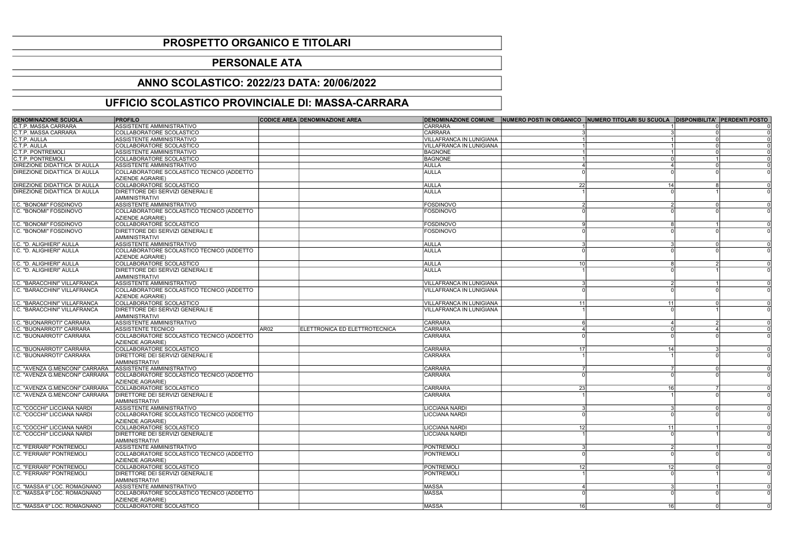| <b>DENOMINAZIONE SCUOLA</b>         | <b>PROFILO</b>                               |                  | <b>CODICE AREA DENOMINAZIONE AREA</b> |                                 | DENOMINAZIONE COMUNE NUMERO POSTI IN ORGANICO NUMERO TITOLARI SU SCUOLA DISPONIBILITA' PERDENTI POSTO |                 |  |
|-------------------------------------|----------------------------------------------|------------------|---------------------------------------|---------------------------------|-------------------------------------------------------------------------------------------------------|-----------------|--|
| C.T.P. MASSA CARRARA                | ASSISTENTE AMMINISTRATIVO                    |                  |                                       | <b>CARRARA</b>                  |                                                                                                       |                 |  |
| <b>C.T.P. MASSA CARRARA</b>         | COLLABORATORE SCOLASTICO                     |                  |                                       | <b>CARRARA</b>                  |                                                                                                       |                 |  |
| C.T.P. AULLA                        | ASSISTENTE AMMINISTRATIVO                    |                  |                                       | <b>VILLAFRANCA IN LUNIGIANA</b> |                                                                                                       |                 |  |
| C.T.P. AULLA                        | COLLABORATORE SCOLASTICO                     |                  |                                       | <b>VILLAFRANCA IN LUNIGIANA</b> |                                                                                                       |                 |  |
| <b>C.T.P. PONTREMOLI</b>            | ASSISTENTE AMMINISTRATIVO                    |                  |                                       | <b>BAGNONE</b>                  |                                                                                                       |                 |  |
| C.T.P. PONTREMOLI                   | <b>COLLABORATORE SCOLASTICO</b>              |                  |                                       | <b>BAGNONE</b>                  |                                                                                                       |                 |  |
| <b>DIREZIONE DIDATTICA DI AULLA</b> | ASSISTENTE AMMINISTRATIVO                    |                  |                                       | <b>AULLA</b>                    |                                                                                                       |                 |  |
| <b>DIREZIONE DIDATTICA DI AULLA</b> | COLLABORATORE SCOLASTICO TECNICO (ADDETTO    |                  |                                       | <b>AULLA</b>                    |                                                                                                       |                 |  |
|                                     | <b>AZIENDE AGRARIE)</b>                      |                  |                                       |                                 |                                                                                                       |                 |  |
| <b>DIREZIONE DIDATTICA DI AULLA</b> | COLLABORATORE SCOLASTICO                     |                  |                                       | <b>AULLA</b>                    | 22                                                                                                    | 14              |  |
| <b>DIREZIONE DIDATTICA DI AULLA</b> | DIRETTORE DEI SERVIZI GENERALI E             |                  |                                       | <b>AULLA</b>                    |                                                                                                       |                 |  |
|                                     | AMMINISTRATIVI                               |                  |                                       |                                 |                                                                                                       |                 |  |
| I.C. "BONOMI" FOSDINOVO             | ASSISTENTE AMMINISTRATIVO                    |                  |                                       | <b>FOSDINOVO</b>                |                                                                                                       |                 |  |
| I.C. "BONOMI" FOSDINOVO             | COLLABORATORE SCOLASTICO TECNICO (ADDETTO    |                  |                                       | <b>FOSDINOVO</b>                |                                                                                                       |                 |  |
|                                     | AZIENDE AGRARIE)                             |                  |                                       |                                 |                                                                                                       |                 |  |
| I.C. "BONOMI" FOSDINOVO             | COLLABORATORE SCOLASTICO                     |                  |                                       | <b>FOSDINOVO</b>                |                                                                                                       |                 |  |
| I.C. "BONOMI" FOSDINOVO             | DIRETTORE DEI SERVIZI GENERALI E             |                  |                                       | <b>FOSDINOVO</b>                |                                                                                                       |                 |  |
|                                     | <b>AMMINISTRATIVI</b>                        |                  |                                       |                                 |                                                                                                       |                 |  |
| I.C. "D. ALIGHIERI" AULLA           | ASSISTENTE AMMINISTRATIVO                    |                  |                                       | <b>AULLA</b>                    |                                                                                                       |                 |  |
| I.C. "D. ALIGHIERI" AULLA           | COLLABORATORE SCOLASTICO TECNICO (ADDETTO    |                  |                                       | <b>AULLA</b>                    |                                                                                                       |                 |  |
|                                     | AZIENDE AGRARIE)                             |                  |                                       |                                 |                                                                                                       |                 |  |
| I.C. "D. ALIGHIERI" AULLA           | COLLABORATORE SCOLASTICO                     |                  |                                       | <b>AULLA</b>                    | 10 <sup>1</sup>                                                                                       |                 |  |
| I.C. "D. ALIGHIERI" AULLA           | DIRETTORE DEI SERVIZI GENERALI E             |                  |                                       | <b>AULLA</b>                    |                                                                                                       |                 |  |
|                                     | <b>AMMINISTRATIVI</b>                        |                  |                                       |                                 |                                                                                                       |                 |  |
| I.C. "BARACCHINI" VILLAFRANCA       | ASSISTENTE AMMINISTRATIVO                    |                  |                                       | VILLAFRANCA IN LUNIGIANA        |                                                                                                       |                 |  |
| I.C. "BARACCHINI" VILLAFRANCA       | COLLABORATORE SCOLASTICO TECNICO (ADDETTO    |                  |                                       | VILLAFRANCA IN LUNIGIANA        |                                                                                                       |                 |  |
|                                     | AZIENDE AGRARIE)                             |                  |                                       |                                 |                                                                                                       |                 |  |
| I.C. "BARACCHINI" VILLAFRANCA       | COLLABORATORE SCOLASTICO                     |                  |                                       | VILLAFRANCA IN LUNIGIANA        | 11<br>11                                                                                              |                 |  |
| I.C. "BARACCHINI" VILLAFRANCA       | <b>DIRETTORE DEI SERVIZI GENERALI E</b>      |                  |                                       | VILLAFRANCA IN LUNIGIANA        |                                                                                                       |                 |  |
|                                     | AMMINISTRATIVI                               |                  |                                       |                                 |                                                                                                       |                 |  |
| I.C. "BUONARROTI" CARRARA           | <b>ASSISTENTE AMMINISTRATIVO</b>             |                  |                                       | <b>CARRARA</b>                  | ี                                                                                                     |                 |  |
| I.C. "BUONARROTI" CARRARA           | <b>ASSISTENTE TECNICO</b>                    | AR <sub>02</sub> | ELETTRONICA ED ELETTROTECNICA         | <b>CARRARA</b>                  |                                                                                                       |                 |  |
| I.C. "BUONARROTI" CARRARA           | COLLABORATORE SCOLASTICO TECNICO (ADDETTO    |                  |                                       | <b>CARRARA</b>                  |                                                                                                       |                 |  |
|                                     | AZIENDE AGRARIE)                             |                  |                                       |                                 |                                                                                                       |                 |  |
| I.C. "BUONARROTI" CARRARA           | COLLABORATORE SCOLASTICO                     |                  |                                       | <b>CARRARA</b>                  | 14                                                                                                    |                 |  |
| I.C. "BUONARROTI" CARRARA           | <b>DIRETTORE DEI SERVIZI GENERALI E</b>      |                  |                                       | <b>CARRARA</b>                  |                                                                                                       |                 |  |
|                                     | <b>AMMINISTRATIVI</b>                        |                  |                                       |                                 |                                                                                                       |                 |  |
| I.C. "AVENZA G.MENCONI" CARRARA     | ASSISTENTE AMMINISTRATIVO                    |                  |                                       | <b>CARRARA</b>                  |                                                                                                       | $\Omega$        |  |
| I.C. "AVENZA G.MENCONI" CARRARA     | COLLABORATORE SCOLASTICO TECNICO (ADDETTO    |                  |                                       | CARRARA                         |                                                                                                       |                 |  |
|                                     | AZIENDE AGRARIE)                             |                  |                                       |                                 |                                                                                                       |                 |  |
| I.C. "AVENZA G.MENCONI" CARRARA     | COLLABORATORE SCOLASTICO                     |                  |                                       | <b>CARRARA</b>                  | <b>231</b>                                                                                            | 16              |  |
| II.C. "AVENZA G.MENCONI" CARRARA    | DIRETTORE DEI SERVIZI GENERALI E             |                  |                                       | <b>CARRARA</b>                  |                                                                                                       |                 |  |
|                                     | <b>AMMINISTRATIVI</b>                        |                  |                                       |                                 |                                                                                                       |                 |  |
| I.C. "COCCHI" LICCIANA NARDI        | <b>ASSISTENTE AMMINISTRATIVO</b>             |                  |                                       | LICCIANA NARDI                  |                                                                                                       | $\Omega$        |  |
| II.C. "COCCHI" LICCIANA NARDI       | COLLABORATORE SCOLASTICO TECNICO (ADDETTO    |                  |                                       | LICCIANA NARDI                  |                                                                                                       |                 |  |
| I.C. "COCCHI" LICCIANA NARDI        | AZIENDE AGRARIE)<br>COLLABORATORE SCOLASTICO |                  |                                       | <b>LICCIANA NARDI</b>           | 12                                                                                                    | 11              |  |
| I.C. "COCCHI" LICCIANA NARDI        | DIRETTORE DEI SERVIZI GENERALI E             |                  |                                       | LICCIANA NARDI                  |                                                                                                       |                 |  |
|                                     | AMMINISTRATIVI                               |                  |                                       |                                 |                                                                                                       |                 |  |
| I.C. "FERRARI" PONTREMOLI           | ASSISTENTE AMMINISTRATIVO                    |                  |                                       | <b>PONTREMOLI</b>               |                                                                                                       |                 |  |
| I.C. "FERRARI" PONTREMOLI           | COLLABORATORE SCOLASTICO TECNICO (ADDETTO    |                  |                                       | <b>PONTREMOLI</b>               |                                                                                                       |                 |  |
|                                     | AZIENDE AGRARIE)                             |                  |                                       |                                 |                                                                                                       |                 |  |
| I.C. "FERRARI" PONTREMOLI           | COLLABORATORE SCOLASTICO                     |                  |                                       | <b>PONTREMOLI</b>               | 12 <sub>l</sub>                                                                                       | 12 <sup>1</sup> |  |
| I.C. "FERRARI" PONTREMOLI           | DIRETTORE DEI SERVIZI GENERALI E             |                  |                                       | PONTREMOLI                      |                                                                                                       |                 |  |
|                                     | AMMINISTRATIVI                               |                  |                                       |                                 |                                                                                                       |                 |  |
| I.C. "MASSA 6" LOC. ROMAGNANO       | ASSISTENTE AMMINISTRATIVO                    |                  |                                       | <b>MASSA</b>                    |                                                                                                       |                 |  |
| I.C. "MASSA 6" LOC. ROMAGNANO       | COLLABORATORE SCOLASTICO TECNICO (ADDETTO    |                  |                                       | <b>MASSA</b>                    |                                                                                                       |                 |  |
|                                     | <b>AZIENDE AGRARIE)</b>                      |                  |                                       |                                 |                                                                                                       |                 |  |
| I.C. "MASSA 6" LOC. ROMAGNANO       | COLLABORATORE SCOLASTICO                     |                  |                                       | <b>MASSA</b>                    | 16                                                                                                    | 16<br>0l        |  |
|                                     |                                              |                  |                                       |                                 |                                                                                                       |                 |  |

## PROSPETTO ORGANICO E TITOLARI

## PERSONALE ATA

## ANNO SCOLASTICO: 2022/23 DATA: 20/06/2022

## UFFICIO SCOLASTICO PROVINCIALE DI: MASSA-CARRARA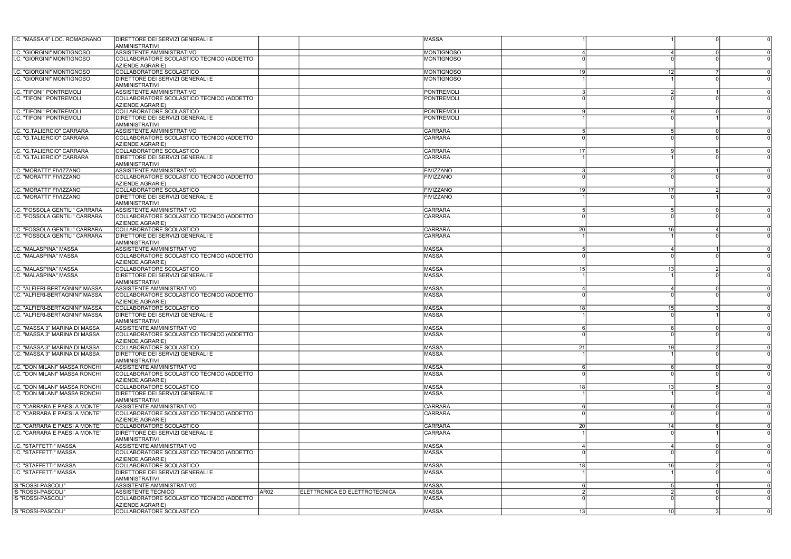| I.C. "MASSA 6" LOC. ROMAGNANO                                    | <b>DIRETTORE DEI SERVIZI GENERALI E</b>                                |                  |                               | <b>MASSA</b>                           |                |                 |          |  |
|------------------------------------------------------------------|------------------------------------------------------------------------|------------------|-------------------------------|----------------------------------------|----------------|-----------------|----------|--|
|                                                                  | <b>AMMINISTRATIVI</b><br>ASSISTENTE AMMINISTRATIVO                     |                  |                               |                                        |                |                 |          |  |
| I.C. "GIORGINI" MONTIGNOSO<br><b>I.C. "GIORGINI" MONTIGNOSO</b>  | COLLABORATORE SCOLASTICO TECNICO (ADDETTO                              |                  |                               | <b>MONTIGNOSO</b><br><b>MONTIGNOSO</b> |                |                 |          |  |
|                                                                  | AZIENDE AGRARIE)                                                       |                  |                               |                                        |                |                 |          |  |
| I.C. "GIORGINI" MONTIGNOSO                                       | COLLABORATORE SCOLASTICO                                               |                  |                               | <b>MONTIGNOSO</b>                      | 19             | 12 <sup>1</sup> |          |  |
| <b>I.C. "GIORGINI" MONTIGNOSO</b>                                | <b>DIRETTORE DEI SERVIZI GENERALI E</b>                                |                  |                               | <b>MONTIGNOSO</b>                      |                |                 |          |  |
|                                                                  | <b>AMMINISTRATIVI</b>                                                  |                  |                               |                                        |                |                 |          |  |
| I.C. "TIFONI" PONTREMOLI                                         | ASSISTENTE AMMINISTRATIVO                                              |                  |                               | <b>PONTREMOLI</b>                      |                |                 |          |  |
| I.C. "TIFONI" PONTREMOLI                                         | COLLABORATORE SCOLASTICO TECNICO (ADDETTO                              |                  |                               | PONTREMOLI                             |                |                 |          |  |
| <b>I.C. "TIFONI" PONTREMOLI</b>                                  | <b>AZIENDE AGRARIE)</b><br>COLLABORATORE SCOLASTICO                    |                  |                               | PONTREMOLI                             |                |                 |          |  |
| <b>I.C. "TIFONI" PONTREMOLI</b>                                  | DIRETTORE DEI SERVIZI GENERALI E                                       |                  |                               | PONTREMOL                              |                |                 |          |  |
|                                                                  | AMMINISTRATIVI                                                         |                  |                               |                                        |                |                 |          |  |
| I.C. "G.TALIERCIO" CARRARA                                       | <b>ASSISTENTE AMMINISTRATIVO</b>                                       |                  |                               | <b>CARRARA</b>                         |                |                 | ∩        |  |
| I.C. "G.TALIERCIO" CARRARA                                       | COLLABORATORE SCOLASTICO TECNICO (ADDETTO                              |                  |                               | CARRARA                                |                |                 |          |  |
|                                                                  | AZIENDE AGRARIE)                                                       |                  |                               |                                        |                |                 |          |  |
| I.C. "G.TALIERCIO" CARRARA                                       | COLLABORATORE SCOLASTICO                                               |                  |                               | <b>CARRARA</b>                         | 17             |                 |          |  |
| I.C. "G.TALIERCIO" CARRARA                                       | DIRETTORE DEI SERVIZI GENERALI E                                       |                  |                               | CARRARA                                |                |                 |          |  |
|                                                                  | <b>AMMINISTRATIVI</b>                                                  |                  |                               |                                        |                |                 |          |  |
| I.C. "MORATTI" FIVIZZANO<br>I.C. "MORATTI" FIVIZZANO             | <b>ASSISTENTE AMMINISTRATIVO</b>                                       |                  |                               | <b>FIVIZZANO</b>                       |                |                 |          |  |
|                                                                  | COLLABORATORE SCOLASTICO TECNICO (ADDETTO<br>AZIENDE AGRARIE)          |                  |                               | <b>FIVIZZANO</b>                       |                |                 |          |  |
| I.C. "MORATTI" FIVIZZANO                                         | COLLABORATORE SCOLASTICO                                               |                  |                               | <b>FIVIZZANO</b>                       | 19             | 17              |          |  |
| I.C. "MORATTI" FIVIZZANO                                         | DIRETTORE DEI SERVIZI GENERALI E                                       |                  |                               | <b>FIVIZZANO</b>                       |                |                 |          |  |
|                                                                  | <b>AMMINISTRATIVI</b>                                                  |                  |                               |                                        |                |                 |          |  |
| I.C. "FOSSOLA GENTILI" CARRARA                                   | ASSISTENTE AMMINISTRATIVO                                              |                  |                               | CARRARA                                | Б,             |                 | $\Omega$ |  |
| I.C. "FOSSOLA GENTILI" CARRARA                                   | COLLABORATORE SCOLASTICO TECNICO (ADDETTO                              |                  |                               | CARRARA                                |                |                 |          |  |
|                                                                  | AZIENDE AGRARIE)                                                       |                  |                               |                                        |                |                 |          |  |
| I.C. "FOSSOLA GENTILI" CARRARA                                   | COLLABORATORE SCOLASTICO                                               |                  |                               | CARRARA                                | 20             | 16l             |          |  |
| I.C. "FOSSOLA GENTILI" CARRARA                                   | DIRETTORE DEI SERVIZI GENERALI E                                       |                  |                               | CARRARA                                |                |                 |          |  |
|                                                                  | AMMINISTRATIVI                                                         |                  |                               |                                        |                |                 |          |  |
| I.C. "MALASPINA" MASSA<br>I.C. "MALASPINA" MASSA                 | ASSISTENTE AMMINISTRATIVO<br>COLLABORATORE SCOLASTICO TECNICO (ADDETTO |                  |                               | <b>MASSA</b><br><b>MASSA</b>           | .5             |                 |          |  |
|                                                                  | <b>AZIENDE AGRARIE)</b>                                                |                  |                               |                                        |                |                 |          |  |
| I.C. "MALASPINA" MASSA                                           | COLLABORATORE SCOLASTICO                                               |                  |                               | <b>MASSA</b>                           | 15             | 13 <sup>l</sup> | 2        |  |
| I.C. "MALASPINA" MASSA                                           | DIRETTORE DEI SERVIZI GENERALI E                                       |                  |                               | <b>MASSA</b>                           |                |                 |          |  |
|                                                                  | AMMINISTRATIVI                                                         |                  |                               |                                        |                |                 |          |  |
| I.C. "ALFIERI-BERTAGNINI" MASSA                                  | ASSISTENTE AMMINISTRATIVO                                              |                  |                               | <b>MASSA</b>                           |                |                 | $\Omega$ |  |
| I.C. "ALFIERI-BERTAGNINI" MASSA                                  | COLLABORATORE SCOLASTICO TECNICO (ADDETTO                              |                  |                               | <b>MASSA</b>                           |                |                 |          |  |
|                                                                  | AZIENDE AGRARIE)                                                       |                  |                               |                                        |                |                 |          |  |
| I.C. "ALFIERI-BERTAGNINI" MASSA                                  | COLLABORATORE SCOLASTICO                                               |                  |                               | <b>MASSA</b>                           | 18             | 15 <sup>1</sup> |          |  |
| I.C. "ALFIERI-BERTAGNINI" MASSA                                  | DIRETTORE DEI SERVIZI GENERALI E                                       |                  |                               | <b>MASSA</b>                           |                |                 |          |  |
| I.C. "MASSA 3" MARINA DI MASSA                                   | AMMINISTRATIVI<br>ASSISTENTE AMMINISTRATIVO                            |                  |                               | <b>MASSA</b>                           |                |                 |          |  |
| I.C. "MASSA 3" MARINA DI MASSA                                   | COLLABORATORE SCOLASTICO TECNICO (ADDETTO                              |                  |                               | <b>MASSA</b>                           |                |                 |          |  |
|                                                                  | AZIENDE AGRARIE)                                                       |                  |                               |                                        |                |                 |          |  |
| I.C. "MASSA 3" MARINA DI MASSA                                   | COLLABORATORE SCOLASTICO                                               |                  |                               | <b>MASSA</b>                           | 21             | 19l             |          |  |
| I.C. "MASSA 3" MARINA DI MASSA                                   | DIRETTORE DEI SERVIZI GENERALI E                                       |                  |                               | <b>MASSA</b>                           |                |                 |          |  |
|                                                                  | AMMINISTRATIVI                                                         |                  |                               |                                        |                |                 |          |  |
| I.C. "DON MILANI" MASSA RONCHI                                   | <b>ASSISTENTE AMMINISTRATIVO</b>                                       |                  |                               | <b>MASSA</b>                           |                |                 |          |  |
| I.C. "DON MILANI" MASSA RONCHI                                   | COLLABORATORE SCOLASTICO TECNICO (ADDETTO                              |                  |                               | <b>MASSA</b>                           |                |                 |          |  |
|                                                                  | AZIENDE AGRARIE)<br>COLLABORATORE SCOLASTICO                           |                  |                               |                                        |                |                 |          |  |
| I.C. "DON MILANI" MASSA RONCHI<br>I.C. "DON MILANI" MASSA RONCHI | <b>DIRETTORE DEI SERVIZI GENERALI E</b>                                |                  |                               | <b>MASSA</b><br><b>MASSA</b>           |                | <u>131</u>      |          |  |
|                                                                  | <b>AMMINISTRATIVI</b>                                                  |                  |                               |                                        |                |                 |          |  |
| I.C. "CARRARA E PAESI A MONTE"                                   | <b>ASSISTENTE AMMINISTRATIVO</b>                                       |                  |                               | <b>CARRARA</b>                         |                |                 | റ        |  |
| I.C. "CARRARA E PAESI A MONTE"                                   | COLLABORATORE SCOLASTICO TECNICO (ADDETTO                              |                  |                               | <b>CARRARA</b>                         |                |                 |          |  |
|                                                                  | AZIENDE AGRARIE)                                                       |                  |                               |                                        |                |                 |          |  |
| I.C. "CARRARA E PAESI A MONTE"                                   | COLLABORATORE SCOLASTICO                                               |                  |                               | <b>CARRARA</b>                         | 20             | 14              |          |  |
| I.C. "CARRARA E PAESI A MONTE"                                   | DIRETTORE DEI SERVIZI GENERALI E                                       |                  |                               | <b>CARRARA</b>                         |                |                 |          |  |
|                                                                  | AMMINISTRATIVI                                                         |                  |                               |                                        |                |                 |          |  |
| <b>I.C. "STAFFETTI" MASSA</b>                                    | <b>ASSISTENTE AMMINISTRATIVO</b>                                       |                  |                               | <b>MASSA</b>                           |                |                 | $\Omega$ |  |
| I.C. "STAFFETTI" MASSA                                           | COLLABORATORE SCOLASTICO TECNICO (ADDETTO                              |                  |                               | <b>MASSA</b>                           |                |                 |          |  |
| <b>I.C. "STAFFETTI" MASSA</b>                                    | <b>AZIENDE AGRARIE)</b><br>COLLABORATORE SCOLASTICO                    |                  |                               | <b>MASSA</b>                           |                | 16l             |          |  |
| I.C. "STAFFETTI" MASSA                                           | DIRETTORE DEI SERVIZI GENERALI E                                       |                  |                               | <b>MASSA</b>                           |                |                 |          |  |
|                                                                  | <b>AMMINISTRATIVI</b>                                                  |                  |                               |                                        |                |                 |          |  |
| <b>IS "ROSSI-PASCOLI"</b>                                        | ASSISTENTE AMMINISTRATIVO                                              |                  |                               | <b>MASSA</b>                           |                |                 |          |  |
| IS "ROSSI-PASCOLI"                                               | <b>ASSISTENTE TECNICO</b>                                              | AR <sub>02</sub> | ELETTRONICA ED ELETTROTECNICA | <b>MASSA</b>                           | $\overline{2}$ |                 |          |  |
| IS "ROSSI-PASCOLI"                                               | COLLABORATORE SCOLASTICO TECNICO (ADDETTO                              |                  |                               | <b>MASSA</b>                           |                |                 |          |  |
|                                                                  | AZIENDE AGRARIE)                                                       |                  |                               |                                        |                |                 |          |  |
| IS "ROSSI-PASCOLI"                                               | COLLABORATORE SCOLASTICO                                               |                  |                               | <b>MASSA</b>                           | 13             | 10 <sup>1</sup> |          |  |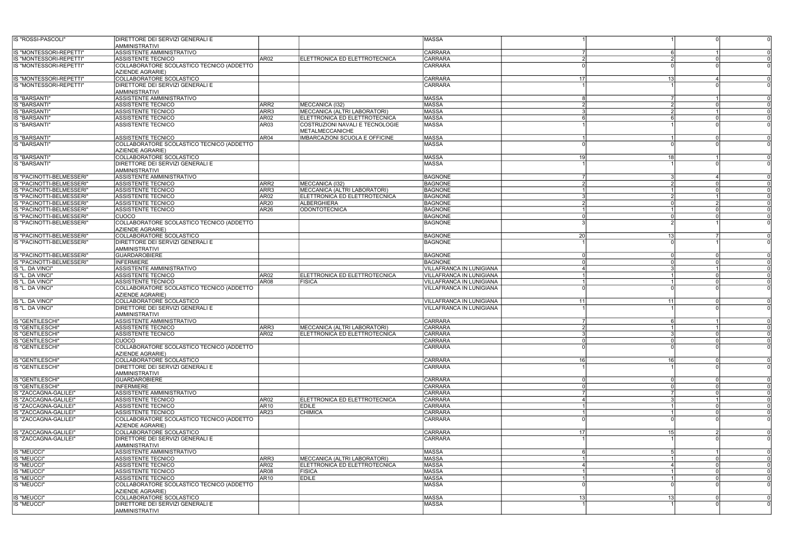| IS "ROSSI-PASCOLI"                                     | <b>DIRETTORE DEI SERVIZI GENERALI E</b><br><b>AMMINISTRATIVI</b>       |                                      |                                                                  | MASSA                            |                 |                 |          |          |
|--------------------------------------------------------|------------------------------------------------------------------------|--------------------------------------|------------------------------------------------------------------|----------------------------------|-----------------|-----------------|----------|----------|
| IS "MONTESSORI-REPETTI"                                | ASSISTENTE AMMINISTRATIVO                                              |                                      |                                                                  | <b>CARRARA</b>                   |                 |                 |          |          |
| IS "MONTESSORI-REPETTI"                                | <b>ASSISTENTE TECNICO</b>                                              | AR <sub>02</sub>                     | ELETTRONICA ED ELETTROTECNICA                                    | CARRARA                          | $\mathcal{P}$   |                 |          |          |
| IS "MONTESSORI-REPETTI"                                | COLLABORATORE SCOLASTICO TECNICO (ADDETTO<br>AZIENDE AGRARIE)          |                                      |                                                                  | <b>CARRARA</b>                   |                 |                 |          |          |
| IS "MONTESSORI-REPETTI'                                | COLLABORATORE SCOLASTICO                                               |                                      |                                                                  | <b>CARRARA</b>                   | 17 <sup>1</sup> | 13              |          |          |
| IS "MONTESSORI-REPETTI"                                | DIRETTORE DEI SERVIZI GENERALI E<br>AMMINISTRATIVI                     |                                      |                                                                  | CARRARA                          |                 |                 |          |          |
| <b>IS "BARSANTI"</b>                                   | <b>ASSISTENTE AMMINISTRATIVO</b>                                       |                                      |                                                                  | <b>MASSA</b>                     |                 |                 |          |          |
| IS "BARSANTI"                                          | ASSISTENTE TECNICO                                                     | ARR <sub>2</sub>                     | MECCANICA (I32)                                                  | <b>MASSA</b>                     | $\mathcal{P}$   |                 |          |          |
| IS "BARSANTI"                                          | ASSISTENTE TECNICO                                                     | ARR3                                 | MECCANICA (ALTRI LABORATORI)                                     | <b>MASSA</b>                     |                 |                 |          |          |
| <b>IS "BARSANTI"</b><br>IS "BARSANTI"                  | ASSISTENTE TECNICO<br><b>ASSISTENTE TECNICO</b>                        | AR <sub>02</sub><br>AR <sub>03</sub> | ELETTRONICA ED ELETTROTECNICA<br>COSTRUZIONI NAVALI E TECNOLOGIE | MASSA<br><b>MASSA</b>            |                 |                 |          |          |
|                                                        |                                                                        |                                      | METALMECCANICHE                                                  |                                  |                 |                 |          |          |
| <b>IS "BARSANTI"</b><br>IS "BARSANTI"                  | <b>ASSISTENTE TECNICO</b><br>COLLABORATORE SCOLASTICO TECNICO (ADDETTO | AR <sub>04</sub>                     | <b>IMBARCAZIONI SCUOLA E OFFICINE</b>                            | MASSA<br><b>MASSA</b>            |                 |                 | ∩        |          |
|                                                        | <b>AZIENDE AGRARIE)</b>                                                |                                      |                                                                  |                                  |                 |                 |          |          |
| IS "BARSANTI"                                          | COLLABORATORE SCOLASTICO                                               |                                      |                                                                  | <b>MASSA</b>                     | 19l             | 18I             |          |          |
| IS "BARSANTI"                                          | DIRETTORE DEI SERVIZI GENERALI E<br><b>AMMINISTRATIVI</b>              |                                      |                                                                  | <b>MASSA</b>                     |                 |                 |          |          |
| IS "PACINOTTI-BELMESSERI"                              | <b>ASSISTENTE AMMINISTRATIVO</b>                                       |                                      |                                                                  | <b>BAGNONE</b>                   | 7               |                 |          |          |
| IS "PACINOTTI-BELMESSERI"                              | <b>ASSISTENTE TECNICO</b>                                              | ARR <sub>2</sub>                     | MECCANICA (I32)                                                  | <b>BAGNONE</b>                   | $\overline{2}$  |                 |          |          |
| IS "PACINOTTI-BELMESSERI"                              | <b>ASSISTENTE TECNICO</b>                                              | ARR3                                 | MECCANICA (ALTRI LABORATORI)                                     | <b>BAGNONE</b>                   |                 |                 |          |          |
| IS "PACINOTTI-BELMESSERI"<br>IS "PACINOTTI-BELMESSERI" | ASSISTENTE TECNICO<br><b>ASSISTENTE TECNICO</b>                        | AR <sub>02</sub><br>AR <sub>20</sub> | ELETTRONICA ED ELETTROTECNICA<br><b>ALBERGHIERA</b>              | <b>BAGNONE</b><br><b>BAGNONE</b> | 3<br>2          |                 |          |          |
| IS "PACINOTTI-BELMESSERI"                              | ASSISTENTE TECNICO                                                     | AR <sub>26</sub>                     | <b>ODONTOTECNICA</b>                                             | <b>BAGNONE</b>                   |                 |                 |          |          |
| IS "PACINOTTI-BELMESSERI"                              | <b>CUOCO</b>                                                           |                                      |                                                                  | <b>BAGNONE</b>                   |                 |                 |          |          |
| IS "PACINOTTI-BELMESSERI"                              | COLLABORATORE SCOLASTICO TECNICO (ADDETTO<br>AZIENDE AGRARIE)          |                                      |                                                                  | <b>BAGNONE</b>                   |                 |                 |          |          |
| IS "PACINOTTI-BELMESSERI"                              | COLLABORATORE SCOLASTICO                                               |                                      |                                                                  | <b>BAGNONE</b>                   | <b>20</b>       | 13 <sup>l</sup> |          |          |
| IS "PACINOTTI-BELMESSERI"                              | DIRETTORE DEI SERVIZI GENERALI E<br><b>AMMINISTRATIVI</b>              |                                      |                                                                  | <b>BAGNONE</b>                   |                 |                 |          |          |
| IS "PACINOTTI-BELMESSERI"                              | <b>GUARDAROBIERE</b>                                                   |                                      |                                                                  | <b>BAGNONE</b>                   |                 |                 |          |          |
| IS "PACINOTTI-BELMESSERI"                              | <b>INFERMIERE</b>                                                      |                                      |                                                                  | <b>BAGNONE</b>                   |                 |                 |          |          |
| IS "L. DA VINCI"                                       | ASSISTENTE AMMINISTRATIVO                                              |                                      |                                                                  | <b>VILLAFRANCA IN LUNIGIANA</b>  |                 |                 |          |          |
| IS "L. DA VINCI"                                       | ASSISTENTE TECNICO                                                     | AR <sub>02</sub>                     | ELETTRONICA ED ELETTROTECNICA                                    | IVILLAFRANCA IN LUNIGIANA        |                 |                 |          |          |
| IS "L. DA VINCI"                                       | ASSISTENTE TECNICO                                                     | AR <sub>08</sub>                     | <b>FISICA</b>                                                    | VILLAFRANCA IN LUNIGIANA         |                 |                 |          |          |
| IS "L. DA VINCI"                                       | COLLABORATORE SCOLASTICO TECNICO (ADDETTO<br><b>AZIENDE AGRARIE)</b>   |                                      |                                                                  | <b>VILLAFRANCA IN LUNIGIANA</b>  |                 |                 |          |          |
| IS "L. DA VINCI"                                       | COLLABORATORE SCOLASTICO                                               |                                      |                                                                  | VILLAFRANCA IN LUNIGIANA         | 11              | 11              |          |          |
| IS "L. DA VINCI"                                       | DIRETTORE DEI SERVIZI GENERALI E<br><b>AMMINISTRATIVI</b>              |                                      |                                                                  | VILLAFRANCA IN LUNIGIANA         |                 |                 |          |          |
| IS "GENTILESCHI"                                       | ASSISTENTE AMMINISTRATIVO                                              |                                      |                                                                  | <b>CARRARA</b>                   |                 |                 |          |          |
| IS "GENTILESCHI                                        | ASSISTENTE TECNICO                                                     | ARR3                                 | MECCANICA (ALTRI LABORATORI)                                     | <b>CARRARA</b>                   | 2               |                 |          |          |
| IS "GENTILESCHI"                                       | ASSISTENTE TECNICO                                                     | AR <sub>02</sub>                     | ELETTRONICA ED ELETTROTECNICA                                    | <b>CARRARA</b>                   | -3              |                 |          | $\Omega$ |
| IS "GENTILESCHI"                                       | lcuoco.                                                                |                                      |                                                                  | <b>CARRARA</b>                   | $\Omega$        |                 |          |          |
| IS "GENTILESCHI"                                       | COLLABORATORE SCOLASTICO TECNICO (ADDETTO<br>AZIENDE AGRARIE)          |                                      |                                                                  | <b>CARRARA</b>                   |                 |                 |          |          |
| IS "GENTILESCHI"                                       | COLLABORATORE SCOLASTICO                                               |                                      |                                                                  | <b>CARRARA</b>                   | 16I             | 16              | $\Omega$ |          |
| IS "GENTILESCHI"                                       | DIRETTORE DEI SERVIZI GENERALI E<br><b>AMMINISTRATIVI</b>              |                                      |                                                                  | <b>CARRARA</b>                   |                 |                 |          |          |
| IS "GENTILESCHI"                                       | <b>GUARDAROBIERE</b>                                                   |                                      |                                                                  | <b>CARRARA</b>                   | 0               |                 |          |          |
| IS "GENTILESCHI"                                       | <b>INFERMIERE</b>                                                      |                                      |                                                                  | <b>CARRARA</b>                   | $\Omega$        |                 |          |          |
| IS "ZACCAGNA-GALILEI"<br>IS "ZACCAGNA-GALILEI"         | ASSISTENTE AMMINISTRATIVO<br>ASSISTENTE TECNICO                        | AR <sub>02</sub>                     | <b>IELETTRONICA ED ELETTROTECNICA</b>                            | CARRARA<br><b>CARRARA</b>        |                 |                 |          |          |
| IS "ZACCAGNA-GALILEI"                                  | <b>ASSISTENTE TECNICO</b>                                              | AR <sub>10</sub>                     | EDILE                                                            | <b>CARRARA</b>                   |                 |                 |          |          |
| IS "ZACCAGNA-GALILEI"                                  | ASSISTENTE TECNICO                                                     | AR <sub>23</sub>                     | <b>CHIMICA</b>                                                   | <b>CARRARA</b>                   |                 |                 |          |          |
| IS "ZACCAGNA-GALILEI"                                  | COLLABORATORE SCOLASTICO TECNICO (ADDETTO<br>AZIENDE AGRARIE)          |                                      |                                                                  | <b>CARRARA</b>                   |                 |                 |          |          |
| IS "ZACCAGNA-GALILEI"                                  | COLLABORATORE SCOLASTICO                                               |                                      |                                                                  | <b>CARRARA</b>                   | 17 <sup>1</sup> | 15 <sup>1</sup> |          |          |
| IS "ZACCAGNA-GALILEI"                                  | DIRETTORE DEI SERVIZI GENERALI E<br><b>AMMINISTRATIVI</b>              |                                      |                                                                  | <b>CARRARA</b>                   |                 |                 |          |          |
| IS "MEUCCI"                                            | ASSISTENTE AMMINISTRATIVO                                              |                                      |                                                                  | <b>MASSA</b>                     | 6               |                 |          |          |
| <b>IS "MEUCCI"</b>                                     | <b>ASSISTENTE TECNICO</b>                                              | ARR3                                 | MECCANICA (ALTRI LABORATORI)                                     | <b>MASSA</b>                     |                 |                 |          |          |
| <b>IS "MEUCCI"</b>                                     | <b>ASSISTENTE TECNICO</b>                                              | AR02                                 | ELETTRONICA ED ELETTROTECNICA                                    | <b>MASSA</b>                     |                 |                 |          |          |
| IS "MEUCCI"                                            | <b>ASSISTENTE TECNICO</b>                                              | AR <sub>08</sub>                     | <b>FISICA</b>                                                    | <b>MASSA</b>                     |                 |                 |          |          |
| IS "MEUCCI"                                            | ASSISTENTE TECNICO                                                     | AR <sub>10</sub>                     | <b>EDILE</b>                                                     | MASSA                            |                 |                 |          |          |
| IS "MEUCCI"                                            | COLLABORATORE SCOLASTICO TECNICO (ADDETTO<br>AZIENDE AGRARIE)          |                                      |                                                                  | <b>MASSA</b>                     |                 |                 |          |          |
| <b>IS "MEUCCI"</b>                                     | COLLABORATORE SCOLASTICO                                               |                                      |                                                                  | <b>MASSA</b>                     | - 13 I          | <u>131</u>      |          |          |
| IS "MEUCCI"                                            | DIRETTORE DEI SERVIZI GENERALI E<br>AMMINISTRATIVI                     |                                      |                                                                  | <b>MASSA</b>                     |                 |                 |          |          |